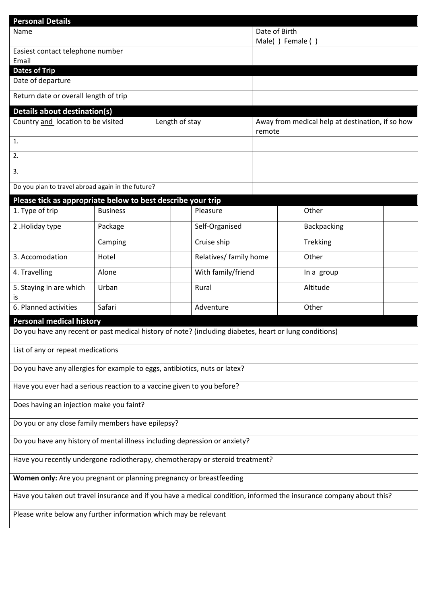| <b>Personal Details</b>                                                                                             |                 |                |                                   |                                                            |  |             |  |
|---------------------------------------------------------------------------------------------------------------------|-----------------|----------------|-----------------------------------|------------------------------------------------------------|--|-------------|--|
| Name                                                                                                                |                 |                | Date of Birth<br>Male() Female () |                                                            |  |             |  |
| Easiest contact telephone number                                                                                    |                 |                |                                   |                                                            |  |             |  |
| Email                                                                                                               |                 |                |                                   |                                                            |  |             |  |
| <b>Dates of Trip</b>                                                                                                |                 |                |                                   |                                                            |  |             |  |
| Date of departure                                                                                                   |                 |                |                                   |                                                            |  |             |  |
| Return date or overall length of trip                                                                               |                 |                |                                   |                                                            |  |             |  |
| <b>Details about destination(s)</b>                                                                                 |                 |                |                                   |                                                            |  |             |  |
| Country and location to be visited                                                                                  |                 | Length of stay |                                   | Away from medical help at destination, if so how<br>remote |  |             |  |
| $\overline{1}$ .                                                                                                    |                 |                |                                   |                                                            |  |             |  |
| 2.                                                                                                                  |                 |                |                                   |                                                            |  |             |  |
| 3.                                                                                                                  |                 |                |                                   |                                                            |  |             |  |
| Do you plan to travel abroad again in the future?                                                                   |                 |                |                                   |                                                            |  |             |  |
| Please tick as appropriate below to best describe your trip                                                         |                 |                |                                   |                                                            |  |             |  |
| 1. Type of trip                                                                                                     | <b>Business</b> |                | Pleasure                          |                                                            |  | Other       |  |
| 2. Holiday type                                                                                                     | Package         |                | Self-Organised                    |                                                            |  | Backpacking |  |
| Camping                                                                                                             |                 |                | Cruise ship                       |                                                            |  | Trekking    |  |
| 3. Accomodation                                                                                                     | Hotel           |                | Relatives/ family home            |                                                            |  | Other       |  |
| 4. Travelling                                                                                                       | Alone           |                | With family/friend                |                                                            |  | In a group  |  |
| 5. Staying in are which<br>IS                                                                                       | Urban           |                | Rural                             |                                                            |  | Altitude    |  |
| 6. Planned activities                                                                                               | Safari          |                | Adventure                         |                                                            |  | Other       |  |
| <b>Personal medical history</b>                                                                                     |                 |                |                                   |                                                            |  |             |  |
| Do you have any recent or past medical history of note? (including diabetes, heart or lung conditions)              |                 |                |                                   |                                                            |  |             |  |
| List of any or repeat medications                                                                                   |                 |                |                                   |                                                            |  |             |  |
| Do you have any allergies for example to eggs, antibiotics, nuts or latex?                                          |                 |                |                                   |                                                            |  |             |  |
| Have you ever had a serious reaction to a vaccine given to you before?                                              |                 |                |                                   |                                                            |  |             |  |
| Does having an injection make you faint?                                                                            |                 |                |                                   |                                                            |  |             |  |
| Do you or any close family members have epilepsy?                                                                   |                 |                |                                   |                                                            |  |             |  |
|                                                                                                                     |                 |                |                                   |                                                            |  |             |  |
| Do you have any history of mental illness including depression or anxiety?                                          |                 |                |                                   |                                                            |  |             |  |
| Have you recently undergone radiotherapy, chemotherapy or steroid treatment?                                        |                 |                |                                   |                                                            |  |             |  |
| Women only: Are you pregnant or planning pregnancy or breastfeeding                                                 |                 |                |                                   |                                                            |  |             |  |
| Have you taken out travel insurance and if you have a medical condition, informed the insurance company about this? |                 |                |                                   |                                                            |  |             |  |
| Please write below any further information which may be relevant                                                    |                 |                |                                   |                                                            |  |             |  |
|                                                                                                                     |                 |                |                                   |                                                            |  |             |  |